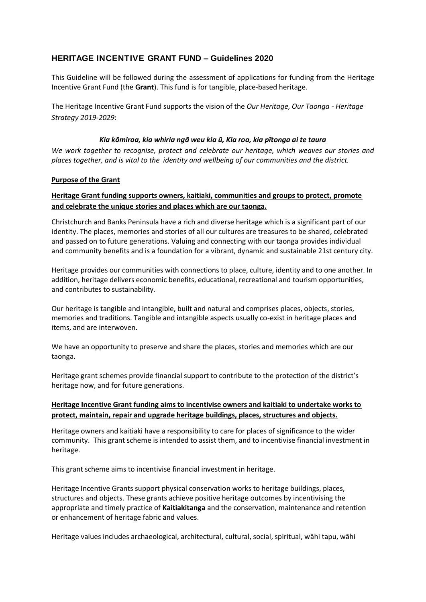# **HERITAGE INCENTIVE GRANT FUND – Guidelines 2020**

This Guideline will be followed during the assessment of applications for funding from the Heritage Incentive Grant Fund (the **Grant**). This fund is for tangible, place-based heritage.

The Heritage Incentive Grant Fund supports the vision of the *Our Heritage, Our Taonga - Heritage Strategy 2019-2029*:

### *Kia kōmiroa, kia whiria ngā weu kia ū, Kia roa, kia pītonga ai te taura*

*We work together to recognise, protect and celebrate our heritage, which weaves our stories and places together, and is vital to the identity and wellbeing of our communities and the district.*

### **Purpose of the Grant**

# **Heritage Grant funding supports owners, kaitiaki, communities and groups to protect, promote and celebrate the unique stories and places which are our taonga.**

Christchurch and Banks Peninsula have a rich and diverse heritage which is a significant part of our identity. The places, memories and stories of all our cultures are treasures to be shared, celebrated and passed on to future generations. Valuing and connecting with our taonga provides individual and community benefits and is a foundation for a vibrant, dynamic and sustainable 21st century city.

Heritage provides our communities with connections to place, culture, identity and to one another. In addition, heritage delivers economic benefits, educational, recreational and tourism opportunities, and contributes to sustainability.

Our heritage is tangible and intangible, built and natural and comprises places, objects, stories, memories and traditions. Tangible and intangible aspects usually co-exist in heritage places and items, and are interwoven.

We have an opportunity to preserve and share the places, stories and memories which are our taonga.

Heritage grant schemes provide financial support to contribute to the protection of the district's heritage now, and for future generations.

# **Heritage Incentive Grant funding aims to incentivise owners and kaitiaki to undertake works to protect, maintain, repair and upgrade heritage buildings, places, structures and objects.**

Heritage owners and kaitiaki have a responsibility to care for places of significance to the wider community. This grant scheme is intended to assist them, and to incentivise financial investment in heritage.

This grant scheme aims to incentivise financial investment in heritage.

Heritage Incentive Grants support physical conservation works to heritage buildings, places, structures and objects. These grants achieve positive heritage outcomes by incentivising the appropriate and timely practice of **Kaitiakitanga** and the conservation, maintenance and retention or enhancement of heritage fabric and values.

Heritage values includes archaeological, architectural, cultural, social, spiritual, wāhi tapu, wāhi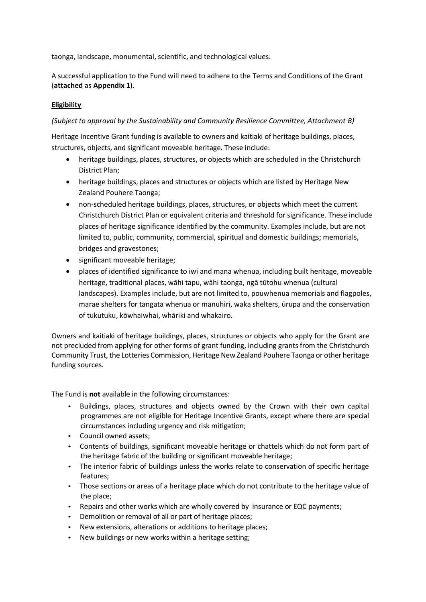taonga, landscape, monumental, scientific, and technological values.

A successful application to the Fund will need to adhere to the Terms and Conditions of the Grant (**attached** as **Appendix 1**).

# **Eligibility**

### *(Subject to approval by the Sustainability and Community Resilience Committee, Attachment B)*

Heritage Incentive Grant funding is available to owners and kaitiaki of heritage buildings, places, structures, objects, and significant moveable heritage. These include:

- heritage buildings, places, structures, or objects which are scheduled in the Christchurch District Plan;
- heritage buildings, places and structures or objects which are listed by Heritage New Zealand Pouhere Taonga;
- non-scheduled heritage buildings, places, structures, or objects which meet the current Christchurch District Plan or equivalent criteria and threshold for significance. These include places of heritage significance identified by the community. Examples include, but are not limited to, public, community, commercial, spiritual and domestic buildings; memorials, bridges and gravestones;
- significant moveable heritage;
- places of identified significance to iwi and mana whenua, including built heritage, moveable heritage, traditional places, wāhi tapu, wāhi taonga, ngā tūtohu whenua (cultural landscapes). Examples include, but are not limited to, pouwhenua memorials and flagpoles, marae shelters for tangata whenua or manuhiri, waka shelters, ūrupa and the conservation of tukutuku, kōwhaiwhai, whāriki and whakairo.

Owners and kaitiaki of heritage buildings, places, structures or objects who apply for the Grant are not precluded from applying for other forms of grant funding, including grants from the Christchurch Community Trust, the Lotteries Commission, Heritage New Zealand Pouhere Taonga or other heritage funding sources.

The Fund is **not** available in the following circumstances:

- Buildings, places, structures and objects owned by the Crown with their own capital programmes are not eligible for Heritage Incentive Grants, except where there are special circumstances including urgency and risk mitigation;
- Council owned assets;
- Contents of buildings, significant moveable heritage or chattels which do not form part of the heritage fabric of the building or significant moveable heritage;
- The interior fabric of buildings unless the works relate to conservation of specific heritage features;
- Those sections or areas of a heritage place which do not contribute to the heritage value of the place;
- Repairs and other works which are wholly covered by insurance or EQC payments;
- Demolition or removal of all or part of heritage places;
- New extensions, alterations or additions to heritage places;
- New buildings or new works within a heritage setting;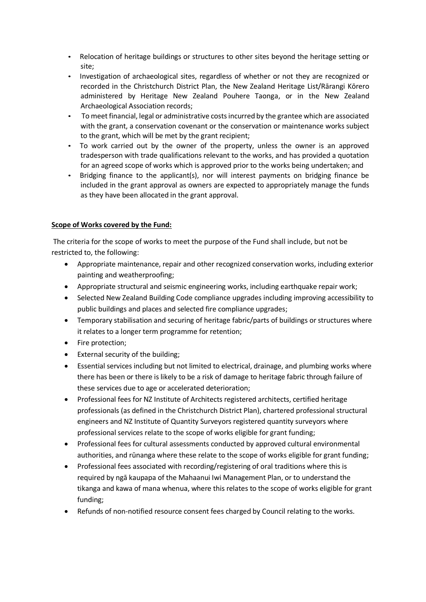- Relocation of heritage buildings or structures to other sites beyond the heritage setting or site;
- Investigation of archaeological sites, regardless of whether or not they are recognized or recorded in the Christchurch District Plan, the New Zealand Heritage List/Rārangi Kōrero administered by Heritage New Zealand Pouhere Taonga, or in the New Zealand Archaeological Association records;
- To meet financial, legal or administrative costs incurred by the grantee which are associated with the grant, a conservation covenant or the conservation or maintenance works subject to the grant, which will be met by the grant recipient;
- To work carried out by the owner of the property, unless the owner is an approved tradesperson with trade qualifications relevant to the works, and has provided a quotation for an agreed scope of works which is approved prior to the works being undertaken; and
- Bridging finance to the applicant(s), nor will interest payments on bridging finance be included in the grant approval as owners are expected to appropriately manage the funds as they have been allocated in the grant approval.

# **Scope of Works covered by the Fund:**

The criteria for the scope of works to meet the purpose of the Fund shall include, but not be restricted to, the following:

- Appropriate maintenance, repair and other recognized conservation works, including exterior painting and weatherproofing;
- Appropriate structural and seismic engineering works, including earthquake repair work;
- Selected New Zealand Building Code compliance upgrades including improving accessibility to public buildings and places and selected fire compliance upgrades;
- Temporary stabilisation and securing of heritage fabric/parts of buildings or structures where it relates to a longer term programme for retention;
- Fire protection;
- External security of the building;
- Essential services including but not limited to electrical, drainage, and plumbing works where there has been or there is likely to be a risk of damage to heritage fabric through failure of these services due to age or accelerated deterioration;
- Professional fees for NZ Institute of Architects registered architects, certified heritage professionals (as defined in the Christchurch District Plan), chartered professional structural engineers and NZ Institute of Quantity Surveyors registered quantity surveyors where professional services relate to the scope of works eligible for grant funding;
- Professional fees for cultural assessments conducted by approved cultural environmental authorities, and rūnanga where these relate to the scope of works eligible for grant funding;
- Professional fees associated with recording/registering of oral traditions where this is required by ngā kaupapa of the Mahaanui Iwi Management Plan, or to understand the tikanga and kawa of mana whenua, where this relates to the scope of works eligible for grant funding;
- Refunds of non-notified resource consent fees charged by Council relating to the works.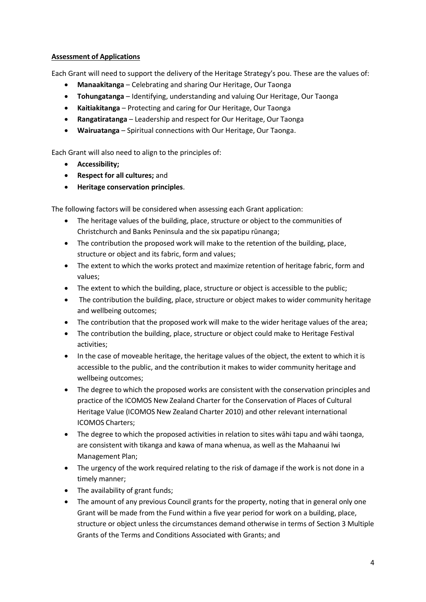# **Assessment of Applications**

Each Grant will need to support the delivery of the Heritage Strategy's pou. These are the values of:

- **Manaakitanga** Celebrating and sharing Our Heritage, Our Taonga
- **Tohungatanga** Identifying, understanding and valuing Our Heritage, Our Taonga
- **Kaitiakitanga** Protecting and caring for Our Heritage, Our Taonga
- **Rangatiratanga** Leadership and respect for Our Heritage, Our Taonga
- **Wairuatanga** Spiritual connections with Our Heritage, Our Taonga.

Each Grant will also need to align to the principles of:

- **Accessibility;**
- **Respect for all cultures;** and
- **Heritage conservation principles**.

The following factors will be considered when assessing each Grant application:

- The heritage values of the building, place, structure or object to the communities of Christchurch and Banks Peninsula and the six papatipu rūnanga;
- The contribution the proposed work will make to the retention of the building, place, structure or object and its fabric, form and values;
- The extent to which the works protect and maximize retention of heritage fabric, form and values;
- The extent to which the building, place, structure or object is accessible to the public;
- The contribution the building, place, structure or object makes to wider community heritage and wellbeing outcomes;
- The contribution that the proposed work will make to the wider heritage values of the area;
- The contribution the building, place, structure or object could make to Heritage Festival activities;
- In the case of moveable heritage, the heritage values of the object, the extent to which it is accessible to the public, and the contribution it makes to wider community heritage and wellbeing outcomes;
- The degree to which the proposed works are consistent with the conservation principles and practice of the ICOMOS New Zealand Charter for the Conservation of Places of Cultural Heritage Value (ICOMOS New Zealand Charter 2010) and other relevant international ICOMOS Charters;
- The degree to which the proposed activities in relation to sites wāhi tapu and wāhi taonga, are consistent with tikanga and kawa of mana whenua, as well as the Mahaanui Iwi Management Plan;
- The urgency of the work required relating to the risk of damage if the work is not done in a timely manner;
- The availability of grant funds;
- The amount of any previous Council grants for the property, noting that in general only one Grant will be made from the Fund within a five year period for work on a building, place, structure or object unless the circumstances demand otherwise in terms of Section 3 Multiple Grants of the Terms and Conditions Associated with Grants; and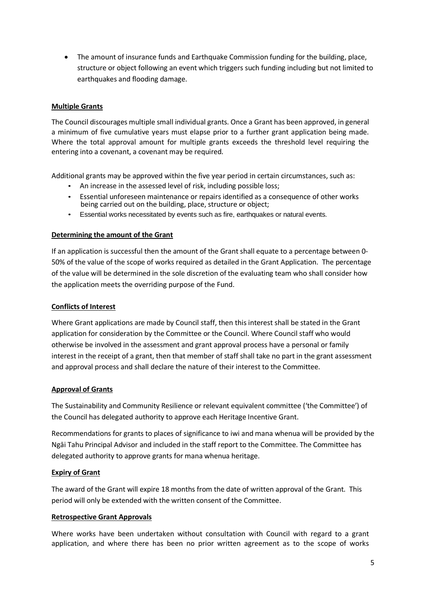The amount of insurance funds and Earthquake Commission funding for the building, place, structure or object following an event which triggers such funding including but not limited to earthquakes and flooding damage.

### **Multiple Grants**

The Council discourages multiple small individual grants. Once a Grant has been approved, in general a minimum of five cumulative years must elapse prior to a further grant application being made. Where the total approval amount for multiple grants exceeds the threshold level requiring the entering into a covenant, a covenant may be required.

Additional grants may be approved within the five year period in certain circumstances, such as:

- An increase in the assessed level of risk, including possible loss;
- Essential unforeseen maintenance or repairs identified as a consequence of other works being carried out on the building, place, structure or object;
- Essential works necessitated by events such as fire, earthquakes or natural events.

### **Determining the amount of the Grant**

If an application is successful then the amount of the Grant shall equate to a percentage between 0- 50% of the value of the scope of works required as detailed in the Grant Application. The percentage of the value will be determined in the sole discretion of the evaluating team who shall consider how the application meets the overriding purpose of the Fund.

#### **Conflicts of Interest**

Where Grant applications are made by Council staff, then this interest shall be stated in the Grant application for consideration by the Committee or the Council. Where Council staff who would otherwise be involved in the assessment and grant approval process have a personal or family interest in the receipt of a grant, then that member of staff shall take no part in the grant assessment and approval process and shall declare the nature of their interest to the Committee.

#### **Approval of Grants**

The Sustainability and Community Resilience or relevant equivalent committee ('the Committee') of the Council has delegated authority to approve each Heritage Incentive Grant.

Recommendations for grants to places of significance to iwi and mana whenua will be provided by the Ngāi Tahu Principal Advisor and included in the staff report to the Committee. The Committee has delegated authority to approve grants for mana whenua heritage.

# **Expiry of Grant**

The award of the Grant will expire 18 months from the date of written approval of the Grant. This period will only be extended with the written consent of the Committee.

#### **Retrospective Grant Approvals**

Where works have been undertaken without consultation with Council with regard to a grant application, and where there has been no prior written agreement as to the scope of works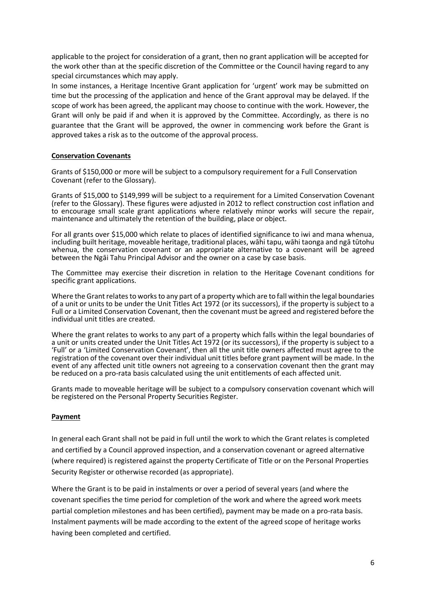applicable to the project for consideration of a grant, then no grant application will be accepted for the work other than at the specific discretion of the Committee or the Council having regard to any special circumstances which may apply.

In some instances, a Heritage Incentive Grant application for 'urgent' work may be submitted on time but the processing of the application and hence of the Grant approval may be delayed. If the scope of work has been agreed, the applicant may choose to continue with the work. However, the Grant will only be paid if and when it is approved by the Committee. Accordingly, as there is no guarantee that the Grant will be approved, the owner in commencing work before the Grant is approved takes a risk as to the outcome of the approval process.

#### **Conservation Covenants**

Grants of \$150,000 or more will be subject to a compulsory requirement for a Full Conservation Covenant (refer to the Glossary).

Grants of \$15,000 to \$149,999 will be subject to a requirement for a Limited Conservation Covenant (refer to the Glossary). These figures were adjusted in 2012 to reflect construction cost inflation and to encourage small scale grant applications where relatively minor works will secure the repair, maintenance and ultimately the retention of the building, place or object.

For all grants over \$15,000 which relate to places of identified significance to iwi and mana whenua, including built heritage, moveable heritage, traditional places, wāhi tapu, wāhi taonga and ngā tūtohu whenua, the conservation covenant or an appropriate alternative to a covenant will be agreed between the Ngāi Tahu Principal Advisor and the owner on a case by case basis.

The Committee may exercise their discretion in relation to the Heritage Covenant conditions for specific grant applications.

Where the Grant relates to works to any part of a property which are to fall within the legal boundaries of a unit or units to be under the Unit Titles Act 1972 (or its successors), if the property is subject to a Full or a Limited Conservation Covenant, then the covenant must be agreed and registered before the individual unit titles are created.

Where the grant relates to works to any part of a property which falls within the legal boundaries of a unit or units created under the Unit Titles Act 1972 (or its successors), if the property is subject to a 'Full' or a 'Limited Conservation Covenant', then all the unit title owners affected must agree to the registration of the covenant over their individual unit titles before grant payment will be made. In the event of any affected unit title owners not agreeing to a conservation covenant then the grant may be reduced on a pro-rata basis calculated using the unit entitlements of each affected unit.

Grants made to moveable heritage will be subject to a compulsory conservation covenant which will be registered on the Personal Property Securities Register.

#### **Payment**

In general each Grant shall not be paid in full until the work to which the Grant relates is completed and certified by a Council approved inspection, and a conservation covenant or agreed alternative (where required) is registered against the property Certificate of Title or on the Personal Properties Security Register or otherwise recorded (as appropriate).

Where the Grant is to be paid in instalments or over a period of several years (and where the covenant specifies the time period for completion of the work and where the agreed work meets partial completion milestones and has been certified), payment may be made on a pro-rata basis. Instalment payments will be made according to the extent of the agreed scope of heritage works having been completed and certified.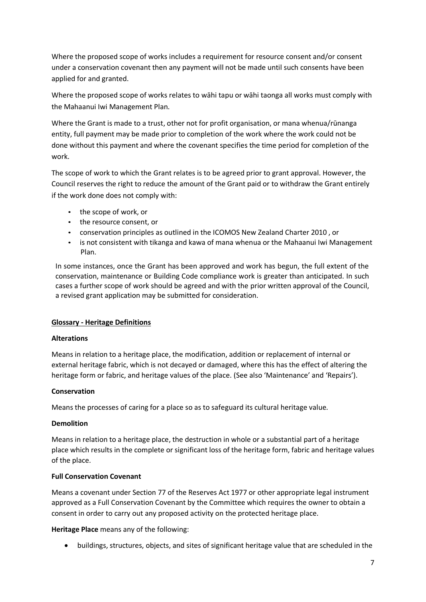Where the proposed scope of works includes a requirement for resource consent and/or consent under a conservation covenant then any payment will not be made until such consents have been applied for and granted.

Where the proposed scope of works relates to wāhi tapu or wāhi taonga all works must comply with the Mahaanui Iwi Management Plan.

Where the Grant is made to a trust, other not for profit organisation, or mana whenua/rūnanga entity, full payment may be made prior to completion of the work where the work could not be done without this payment and where the covenant specifies the time period for completion of the work.

The scope of work to which the Grant relates is to be agreed prior to grant approval. However, the Council reserves the right to reduce the amount of the Grant paid or to withdraw the Grant entirely if the work done does not comply with:

- the scope of work, or
- the resource consent, or
- conservation principles as outlined in the ICOMOS New Zealand Charter 2010 , or
- is not consistent with tikanga and kawa of mana whenua or the Mahaanui Iwi Management Plan.

In some instances, once the Grant has been approved and work has begun, the full extent of the conservation, maintenance or Building Code compliance work is greater than anticipated. In such cases a further scope of work should be agreed and with the prior written approval of the Council, a revised grant application may be submitted for consideration.

# **Glossary - Heritage Definitions**

# **Alterations**

Means in relation to a heritage place, the modification, addition or replacement of internal or external heritage fabric, which is not decayed or damaged, where this has the effect of altering the heritage form or fabric, and heritage values of the place. (See also 'Maintenance' and 'Repairs').

#### **Conservation**

Means the processes of caring for a place so as to safeguard its cultural heritage value.

#### **Demolition**

Means in relation to a heritage place, the destruction in whole or a substantial part of a heritage place which results in the complete or significant loss of the heritage form, fabric and heritage values of the place.

#### **Full Conservation Covenant**

Means a covenant under Section 77 of the Reserves Act 1977 or other appropriate legal instrument approved as a Full Conservation Covenant by the Committee which requires the owner to obtain a consent in order to carry out any proposed activity on the protected heritage place.

**Heritage Place** means any of the following:

buildings, structures, objects, and sites of significant heritage value that are scheduled in the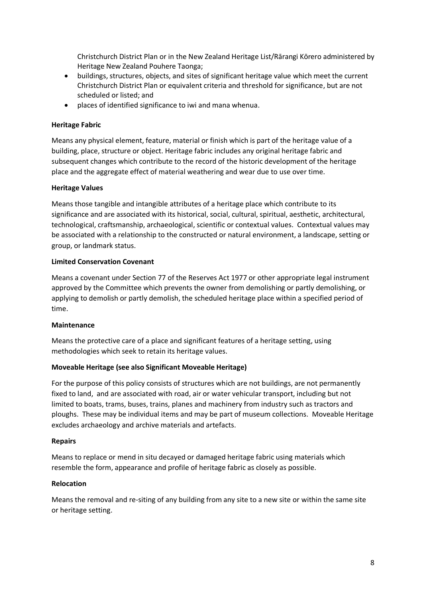Christchurch District Plan or in the New Zealand Heritage List/Rārangi Kōrero administered by Heritage New Zealand Pouhere Taonga;

- buildings, structures, objects, and sites of significant heritage value which meet the current Christchurch District Plan or equivalent criteria and threshold for significance, but are not scheduled or listed; and
- places of identified significance to iwi and mana whenua.

### **Heritage Fabric**

Means any physical element, feature, material or finish which is part of the heritage value of a building, place, structure or object. Heritage fabric includes any original heritage fabric and subsequent changes which contribute to the record of the historic development of the heritage place and the aggregate effect of material weathering and wear due to use over time.

#### **Heritage Values**

Means those tangible and intangible attributes of a heritage place which contribute to its significance and are associated with its historical, social, cultural, spiritual, aesthetic, architectural, technological, craftsmanship, archaeological, scientific or contextual values. Contextual values may be associated with a relationship to the constructed or natural environment, a landscape, setting or group, or landmark status.

### **Limited Conservation Covenant**

Means a covenant under Section 77 of the Reserves Act 1977 or other appropriate legal instrument approved by the Committee which prevents the owner from demolishing or partly demolishing, or applying to demolish or partly demolish, the scheduled heritage place within a specified period of time.

#### **Maintenance**

Means the protective care of a place and significant features of a heritage setting, using methodologies which seek to retain its heritage values.

# **Moveable Heritage (see also Significant Moveable Heritage)**

For the purpose of this policy consists of structures which are not buildings, are not permanently fixed to land, and are associated with road, air or water vehicular transport, including but not limited to boats, trams, buses, trains, planes and machinery from industry such as tractors and ploughs. These may be individual items and may be part of museum collections. Moveable Heritage excludes archaeology and archive materials and artefacts.

#### **Repairs**

Means to replace or mend in situ decayed or damaged heritage fabric using materials which resemble the form, appearance and profile of heritage fabric as closely as possible.

#### **Relocation**

Means the removal and re-siting of any building from any site to a new site or within the same site or heritage setting.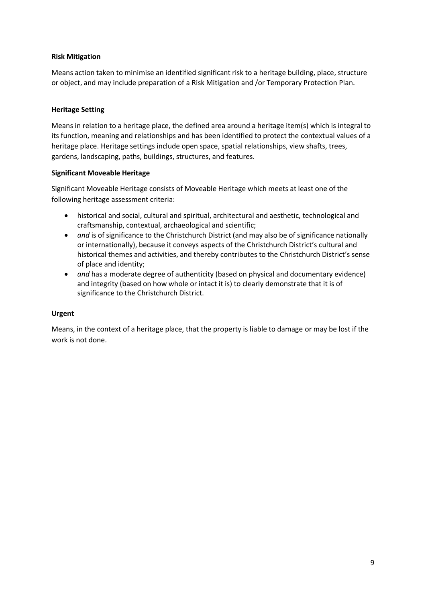# **Risk Mitigation**

Means action taken to minimise an identified significant risk to a heritage building, place, structure or object, and may include preparation of a Risk Mitigation and /or Temporary Protection Plan.

### **Heritage Setting**

Means in relation to a heritage place, the defined area around a heritage item(s) which is integral to its function, meaning and relationships and has been identified to protect the contextual values of a heritage place. Heritage settings include open space, spatial relationships, view shafts, trees, gardens, landscaping, paths, buildings, structures, and features.

### **Significant Moveable Heritage**

Significant Moveable Heritage consists of Moveable Heritage which meets at least one of the following heritage assessment criteria:

- historical and social, cultural and spiritual, architectural and aesthetic, technological and craftsmanship, contextual, archaeological and scientific;
- *and* is of significance to the Christchurch District (and may also be of significance nationally or internationally), because it conveys aspects of the Christchurch District's cultural and historical themes and activities, and thereby contributes to the Christchurch District's sense of place and identity;
- *and* has a moderate degree of authenticity (based on physical and documentary evidence) and integrity (based on how whole or intact it is) to clearly demonstrate that it is of significance to the Christchurch District.

# **Urgent**

Means, in the context of a heritage place, that the property is liable to damage or may be lost if the work is not done.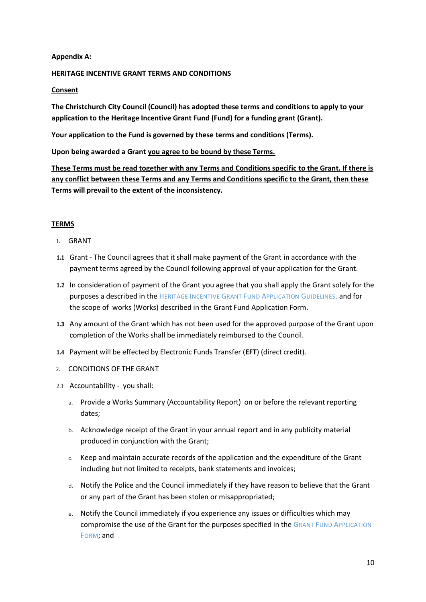### **Appendix A:**

### **HERITAGE INCENTIVE GRANT TERMS AND CONDITIONS**

### **Consent**

**The Christchurch City Council (Council) has adopted these terms and conditions to apply to your application to the Heritage Incentive Grant Fund (Fund) for a funding grant (Grant).** 

**Your application to the Fund is governed by these terms and conditions (Terms).** 

**Upon being awarded a Grant you agree to be bound by these Terms.**

**These Terms must be read together with any Terms and Conditions specific to the Grant. If there is any conflict between these Terms and any Terms and Conditions specific to the Grant, then these Terms will prevail to the extent of the inconsistency.**

# **TERMS**

- 1. GRANT
- **1.1** Grant The Council agrees that it shall make payment of the Grant in accordance with the payment terms agreed by the Council following approval of your application for the Grant.
- **1.2** In consideration of payment of the Grant you agree that you shall apply the Grant solely for the purposes a described in the HERITAGE INCENTIVE GRANT FUND APPLICATION GUIDELINES, and for the scope of works (Works) described in the Grant Fund Application Form.
- **1.3** Any amount of the Grant which has not been used for the approved purpose of the Grant upon completion of the Works shall be immediately reimbursed to the Council.
- **1.4** Payment will be effected by Electronic Funds Transfer (**EFT**) (direct credit).
- 2. CONDITIONS OF THE GRANT
- 2.1 Accountability you shall:
	- a. Provide a Works Summary (Accountability Report) on or before the relevant reporting dates;
	- b. Acknowledge receipt of the Grant in your annual report and in any publicity material produced in conjunction with the Grant;
	- c. Keep and maintain accurate records of the application and the expenditure of the Grant including but not limited to receipts, bank statements and invoices;
	- d. Notify the Police and the Council immediately if they have reason to believe that the Grant or any part of the Grant has been stolen or misappropriated;
	- e. Notify the Council immediately if you experience any issues or difficulties which may compromise the use of the Grant for the purposes specified in the GRANT FUND APPLICATION FORM; and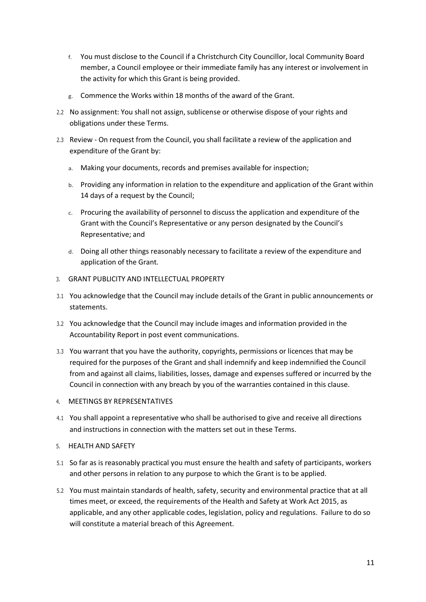- f. You must disclose to the Council if a Christchurch City Councillor, local Community Board member, a Council employee or their immediate family has any interest or involvement in the activity for which this Grant is being provided.
- g. Commence the Works within 18 months of the award of the Grant.
- 2.2 No assignment: You shall not assign, sublicense or otherwise dispose of your rights and obligations under these Terms.
- 2.3 Review On request from the Council, you shall facilitate a review of the application and expenditure of the Grant by:
	- a. Making your documents, records and premises available for inspection;
	- b. Providing any information in relation to the expenditure and application of the Grant within 14 days of a request by the Council;
	- c. Procuring the availability of personnel to discuss the application and expenditure of the Grant with the Council's Representative or any person designated by the Council's Representative; and
	- d. Doing all other things reasonably necessary to facilitate a review of the expenditure and application of the Grant.
- 3. GRANT PUBLICITY AND INTELLECTUAL PROPERTY
- 3.1 You acknowledge that the Council may include details of the Grant in public announcements or statements.
- 3.2 You acknowledge that the Council may include images and information provided in the Accountability Report in post event communications.
- 3.3 You warrant that you have the authority, copyrights, permissions or licences that may be required for the purposes of the Grant and shall indemnify and keep indemnified the Council from and against all claims, liabilities, losses, damage and expenses suffered or incurred by the Council in connection with any breach by you of the warranties contained in this clause.
- 4. MEETINGS BY REPRESENTATIVES
- 4.1 You shall appoint a representative who shall be authorised to give and receive all directions and instructions in connection with the matters set out in these Terms.
- 5. HEALTH AND SAFETY
- 5.1 So far as is reasonably practical you must ensure the health and safety of participants, workers and other persons in relation to any purpose to which the Grant is to be applied.
- 5.2 You must maintain standards of health, safety, security and environmental practice that at all times meet, or exceed, the requirements of the Health and Safety at Work Act 2015, as applicable, and any other applicable codes, legislation, policy and regulations. Failure to do so will constitute a material breach of this Agreement.